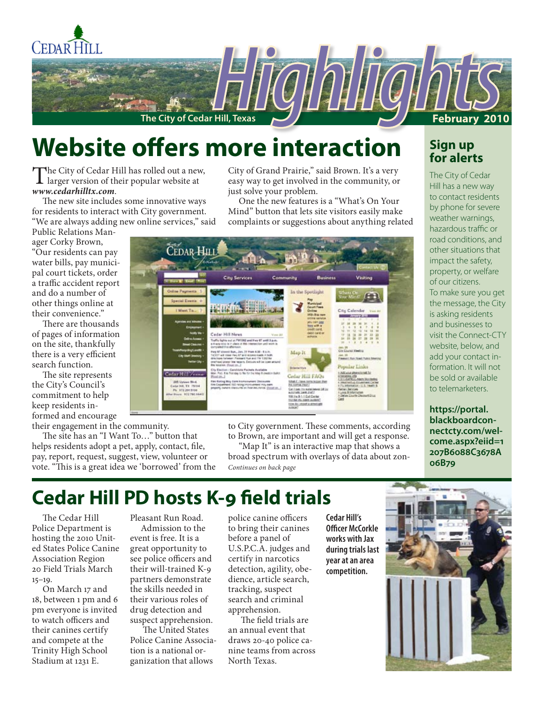

## **Website offers more interaction**

The City of Cedar Hill has rolled out a new,<br>larger version of their popular website at *www.cedarhilltx.com*.

The new site includes some innovative ways for residents to interact with City government. "We are always adding new online services," said

Public Relations Manager Corky Brown, "Our residents can pay water bills, pay municipal court tickets, order a traffic accident report and do a number of other things online at their convenience."

There are thousands of pages of information on the site, thankfully there is a very efficient search function.

The site represents the City's Council's commitment to help keep residents informed and encourage

their engagement in the community.

The site has an "I Want To…" button that helps residents adopt a pet, apply, contact, file, pay, report, request, suggest, view, volunteer or vote. "This is a great idea we 'borrowed' from the

City of Grand Prairie," said Brown. It's a very easy way to get involved in the community, or just solve your problem.

One the new features is a "What's On Your Mind" button that lets site visitors easily make complaints or suggestions about anything related



to City government. These comments, according to Brown, are important and will get a response.

**06B79** *Continues on back page* "Map It" is an interactive map that shows a broad spectrum with overlays of data about zon-

## **Sign up for alerts**

The City of Cedar Hill has a new way to contact residents by phone for severe weather warnings, hazardous traffic or road conditions, and other situations that impact the safety, property, or welfare of our citizens. To make sure you get the message, the City is asking residents and businesses to visit the Connect-CTY website, below, and add your contact information. It will not be sold or available to telemarketers.

**https://portal. blackboardconnectcty.com/welcome.aspx?eiid=1 207B6088C3678A**

## **Cedar Hill PD hosts K-9 field trials**

The Cedar Hill Police Department is hosting the 2010 United States Police Canine Association Region 20 Field Trials March 15–19.

On March 17 and 18, between 1 pm and 6 pm everyone is invited to watch officers and their canines certify and compete at the Trinity High School Stadium at 1231 E.

Pleasant Run Road.

Admission to the event is free. It is a great opportunity to see police officers and their will-trained K-9 partners demonstrate the skills needed in their various roles of drug detection and suspect apprehension.

 The United States Police Canine Association is a national organization that allows

police canine officers to bring their canines before a panel of U.S.P.C.A. judges and certify in narcotics detection, agility, obedience, article search, tracking, suspect search and criminal apprehension.

 The field trials are an annual event that draws 20-40 police canine teams from across North Texas.

**Cedar Hill's Officer McCorkle works with Jax during trials last year at an area competition.** 

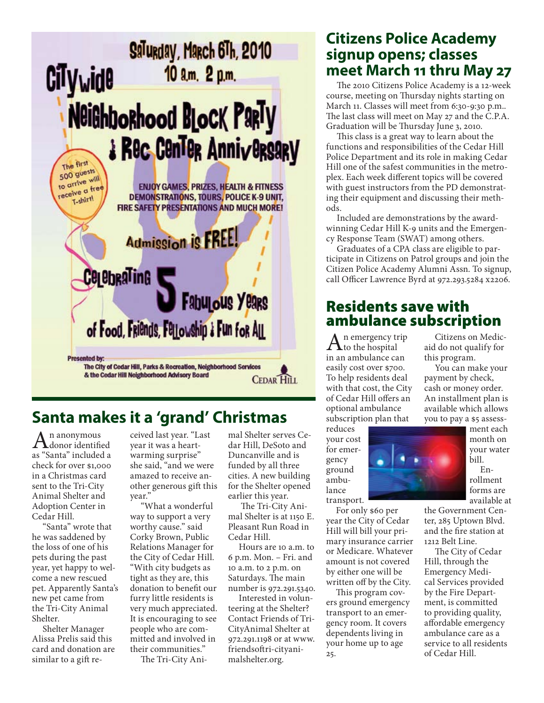

## **Santa makes it a 'grand' Christmas**

 $A<sub>donor</sub>$  identified as "Santa" included a check for over \$1,000 in a Christmas card sent to the Tri-City Animal Shelter and Adoption Center in Cedar Hill.

"Santa" wrote that he was saddened by the loss of one of his pets during the past year, yet happy to welcome a new rescued pet. Apparently Santa's new pet came from the Tri-City Animal Shelter.

Shelter Manager Alissa Prelis said this card and donation are similar to a gift re-

ceived last year. "Last year it was a heartwarming surprise" she said, "and we were amazed to receive another generous gift this year."

"What a wonderful way to support a very worthy cause." said Corky Brown, Public Relations Manager for the City of Cedar Hill. "With city budgets as tight as they are, this donation to benefit our furry little residents is very much appreciated. It is encouraging to see people who are committed and involved in their communities."

The Tri-City Ani-

mal Shelter serves Cedar Hill, DeSoto and Duncanville and is funded by all three cities. A new building for the Shelter opened earlier this year.

 The Tri-City Animal Shelter is at 1150 E. Pleasant Run Road in Cedar Hill.

Hours are 10 a.m. to 6 p.m. Mon. – Fri. and 10 a.m. to 2 p.m. on Saturdays. The main number is 972.291.5340.

Interested in volunteering at the Shelter? Contact Friends of Tri-CityAnimal Shelter at 972.291.1198 or at www. friendsoftri-cityanimalshelter.org.

## **Citizens Police Academy signup opens; classes meet March 11 thru May 27**

The 2010 Citizens Police Academy is a 12-week course, meeting on Thursday nights starting on March 11. Classes will meet from 6:30-9:30 p.m.. The last class will meet on May 27 and the C.P.A. Graduation will be Thursday June 3, 2010.

This class is a great way to learn about the functions and responsibilities of the Cedar Hill Police Department and its role in making Cedar Hill one of the safest communities in the metroplex. Each week different topics will be covered with guest instructors from the PD demonstrating their equipment and discussing their methods.

Included are demonstrations by the awardwinning Cedar Hill K-9 units and the Emergency Response Team (SWAT) among others.

Graduates of a CPA class are eligible to participate in Citizens on Patrol groups and join the Citizen Police Academy Alumni Assn. To signup, call Officer Lawrence Byrd at 972.293.5284 x2206.

## Residents save with ambulance subscription

n emergency trip  $\lambda$  to the hospital in an ambulance can easily cost over \$700. To help residents deal with that cost, the City of Cedar Hill offers an optional ambulance subscription plan that

reduces your cost for emergency ground ambulance transport.



bill. Enrollment forms are available at

For only \$60 per year the City of Cedar Hill will bill your primary insurance carrier or Medicare. Whatever amount is not covered by either one will be written off by the City.

This program covers ground emergency transport to an emergency room. It covers dependents living in your home up to age 25.

the Government Center, 285 Uptown Blvd. and the fire station at 1212 Belt Line.

The City of Cedar Hill, through the Emergency Medical Services provided by the Fire Department, is committed to providing quality, affordable emergency ambulance care as a service to all residents of Cedar Hill.

month on your water

ment each

Citizens on Medicaid do not qualify for

You can make your payment by check, cash or money order. An installment plan is available which allows you to pay a \$5 assess-

this program.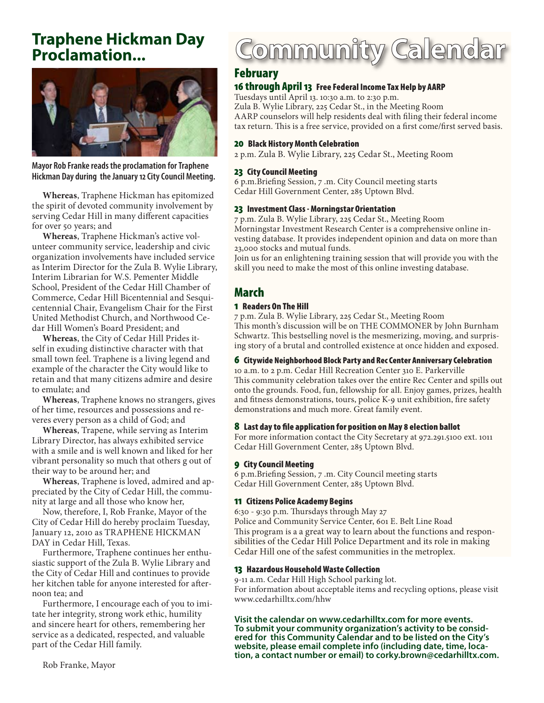## **Traphene Hickman Day Proclamation...**



**Mayor Rob Franke reads the proclamation for Traphene Hickman Day during the January 12 City Council Meeting.**

**Whereas**, Traphene Hickman has epitomized the spirit of devoted community involvement by serving Cedar Hill in many different capacities for over 50 years; and

**Whereas**, Traphene Hickman's active volunteer community service, leadership and civic organization involvements have included service as Interim Director for the Zula B. Wylie Library, Interim Librarian for W.S. Pementer Middle School, President of the Cedar Hill Chamber of Commerce, Cedar Hill Bicentennial and Sesquicentennial Chair, Evangelism Chair for the First United Methodist Church, and Northwood Cedar Hill Women's Board President; and

**Whereas**, the City of Cedar Hill Prides itself in exuding distinctive character with that small town feel. Traphene is a living legend and example of the character the City would like to retain and that many citizens admire and desire to emulate; and

**Whereas**, Traphene knows no strangers, gives of her time, resources and possessions and reveres every person as a child of God; and

**Whereas**, Trapene, while serving as Interim Library Director, has always exhibited service with a smile and is well known and liked for her vibrant personality so much that others g out of their way to be around her; and

**Whereas**, Traphene is loved, admired and appreciated by the City of Cedar Hill, the community at large and all those who know her,

Now, therefore, I, Rob Franke, Mayor of the City of Cedar Hill do hereby proclaim Tuesday, January 12, 2010 as TRAPHENE HICKMAN DAY in Cedar Hill, Texas.

Furthermore, Traphene continues her enthusiastic support of the Zula B. Wylie Library and the City of Cedar Hill and continues to provide her kitchen table for anyone interested for afternoon tea; and

Furthermore, I encourage each of you to imitate her integrity, strong work ethic, humility and sincere heart for others, remembering her service as a dedicated, respected, and valuable part of the Cedar Hill family.

# Community Calendar

## February

## 16 through April 13 Free Federal Income Tax Help by AARP

Tuesdays until April 13. 10:30 a.m. to 2:30 p.m. Zula B. Wylie Library, 225 Cedar St., in the Meeting Room AARP counselors will help residents deal with filing their federal income tax return. This is a free service, provided on a first come/first served basis.

#### 20 Black History Month Celebration

2 p.m. Zula B. Wylie Library, 225 Cedar St., Meeting Room

#### 23 City Council Meeting

6 p.m.Briefing Session, 7 .m. City Council meeting starts Cedar Hill Government Center, 285 Uptown Blvd.

#### 23 Investment Class - Morningstar Orientation

7 p.m. Zula B. Wylie Library, 225 Cedar St., Meeting Room Morningstar Investment Research Center is a comprehensive online investing database. It provides independent opinion and data on more than 23,000 stocks and mutual funds.

Join us for an enlightening training session that will provide you with the skill you need to make the most of this online investing database.

## March

## 1 Readers On The Hill

7 p.m. Zula B. Wylie Library, 225 Cedar St., Meeting Room This month's discussion will be on THE COMMONER by John Burnham Schwartz. This bestselling novel is the mesmerizing, moving, and surprising story of a brutal and controlled existence at once hidden and exposed.

### 6 Citywide Neighborhood Block Party and Rec Center Anniversary Celebration

10 a.m. to 2 p.m. Cedar Hill Recreation Center 310 E. Parkerville This community celebration takes over the entire Rec Center and spills out onto the grounds. Food, fun, fellowship for all. Enjoy games, prizes, health and fitness demonstrations, tours, police K-9 unit exhibition, fire safety demonstrations and much more. Great family event.

### 8 Last day to file application for position on May 8 election ballot

For more information contact the City Secretary at 972.291.5100 ext. 1011 Cedar Hill Government Center, 285 Uptown Blvd.

#### 9 City Council Meeting

6 p.m.Briefing Session, 7 .m. City Council meeting starts Cedar Hill Government Center, 285 Uptown Blvd.

#### 11 Citizens Police Academy Begins

6:30 - 9:30 p.m. Thursdays through May 27 Police and Community Service Center, 601 E. Belt Line Road This program is a a great way to learn about the functions and responsibilities of the Cedar Hill Police Department and its role in making Cedar Hill one of the safest communities in the metroplex.

### 13 Hazardous Household Waste Collection

9-11 a.m. Cedar Hill High School parking lot. For information about acceptable items and recycling options, please visit www.cedarhilltx.com/hhw

**Visit the calendar on www.cedarhilltx.com for more events. To submit your community organization's activity to be consid- ered for this Community Calendar and to be listed on the City's website, please email complete info (including date, time, loca- tion, a contact number or email) to corky.brown@cedarhilltx.com.**